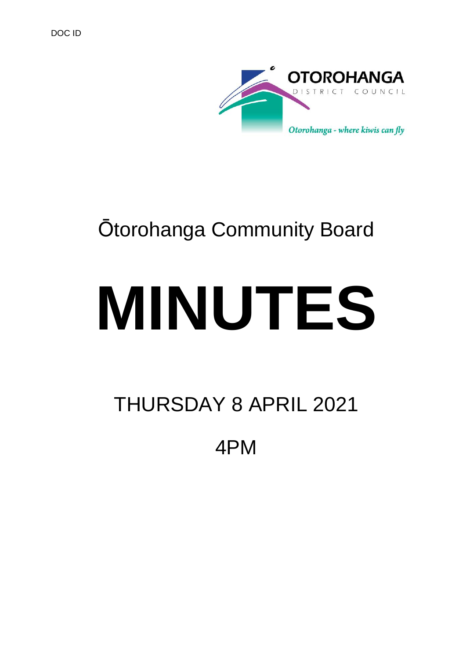

## Ōtorohanga Community Board

# **MINUTES**

## THURSDAY 8 APRIL 2021

4PM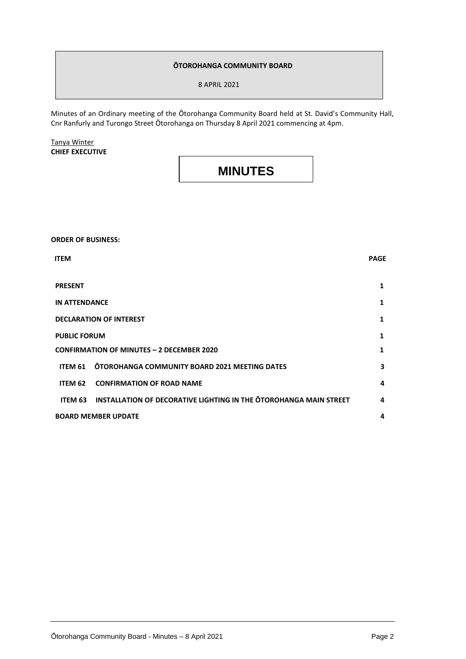#### **ŌTOROHANGA COMMUNITY BOARD**

8 APRIL 2021

Minutes of an Ordinary meeting of the Ōtorohanga Community Board held at St. David's Community Hall, Cnr Ranfurly and Turongo Street Ōtorohanga on Thursday 8 April 2021 commencing at 4pm.

Tanya Winter **CHIEF EXECUTIVE**

### **MINUTES**

**ORDER OF BUSINESS: ITEM** PAGE **PRESENT 1 IN ATTENDANCE 1 DECLARATION OF INTEREST 1 PUBLIC FORUM CONFIRMATION OF MINUTES – 2 DECEMBER 2020 1 1 ITEM 61 ŌTOROHANGA COMMUNITY BOARD 2021 MEETING DATES 3 ITEM 62 CONFIRMATION OF ROAD NAME 4 ITEM 63 INSTALLATION OF DECORATIVE LIGHTING IN THE ŌTOROHANGA MAIN STREET 4 BOARD MEMBER UPDATE 4**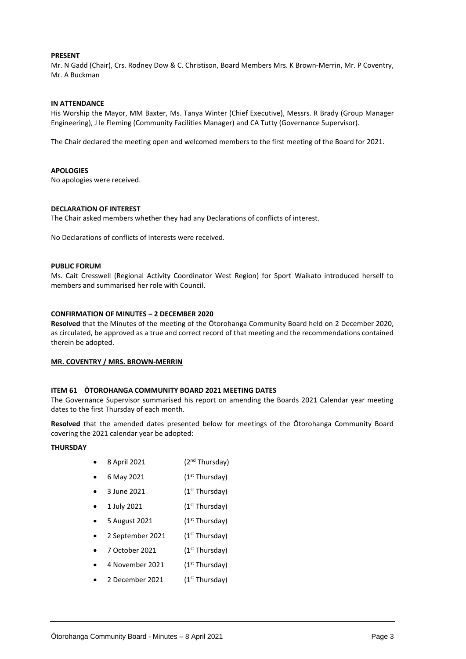#### **PRESENT**

Mr. N Gadd (Chair), Crs. Rodney Dow & C. Christison, Board Members Mrs. K Brown-Merrin, Mr. P Coventry, Mr. A Buckman

#### **IN ATTENDANCE**

His Worship the Mayor, MM Baxter, Ms. Tanya Winter (Chief Executive), Messrs. R Brady (Group Manager Engineering), J le Fleming (Community Facilities Manager) and CA Tutty (Governance Supervisor).

The Chair declared the meeting open and welcomed members to the first meeting of the Board for 2021.

#### **APOLOGIES**

No apologies were received.

#### **DECLARATION OF INTEREST**

The Chair asked members whether they had any Declarations of conflicts of interest.

No Declarations of conflicts of interests were received.

#### **PUBLIC FORUM**

Ms. Cait Cresswell (Regional Activity Coordinator West Region) for Sport Waikato introduced herself to members and summarised her role with Council.

#### **CONFIRMATION OF MINUTES – 2 DECEMBER 2020**

**Resolved** that the Minutes of the meeting of the Ōtorohanga Community Board held on 2 December 2020, as circulated, be approved as a true and correct record of that meeting and the recommendations contained therein be adopted.

#### **MR. COVENTRY / MRS. BROWN-MERRIN**

#### **ITEM 61 ŌTOROHANGA COMMUNITY BOARD 2021 MEETING DATES**

The Governance Supervisor summarised his report on amending the Boards 2021 Calendar year meeting dates to the first Thursday of each month.

**Resolved** that the amended dates presented below for meetings of the Ōtorohanga Community Board covering the 2021 calendar year be adopted:

#### **THURSDAY**

- $\bullet$  8 April 2021 (2<sup>nd</sup> Thursday)
- 6 May 2021  $(1^{st}$  Thursday)
- 3 June 2021  $(1<sup>st</sup> Thursday)$
- $1$  July 2021 (1st Thursday)
- 5 August 2021  $(1^{st}$  Thursday)
- 2 September 2021  $(1<sup>st</sup> Thursday)$
- 7 October 2021  $(1^{st}$  Thursday)
- 4 November 2021  $(1<sup>st</sup> Thursday)$
- 2 December 2021  $(1<sup>st</sup> Thursday)$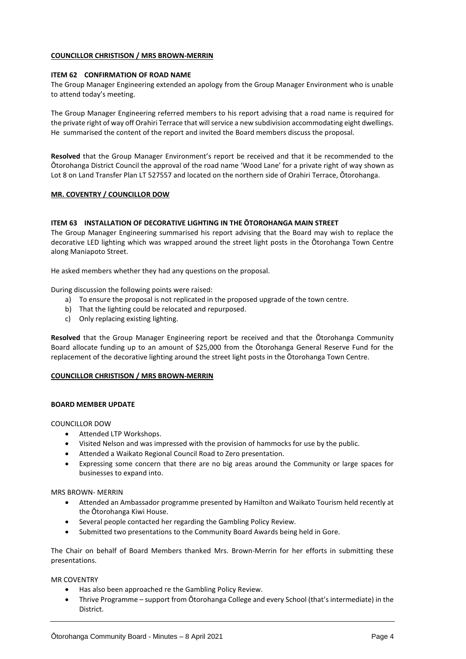#### **COUNCILLOR CHRISTISON / MRS BROWN-MERRIN**

#### **ITEM 62 CONFIRMATION OF ROAD NAME**

The Group Manager Engineering extended an apology from the Group Manager Environment who is unable to attend today's meeting.

The Group Manager Engineering referred members to his report advising that a road name is required for the private right of way off Orahiri Terrace that will service a new subdivision accommodating eight dwellings. He summarised the content of the report and invited the Board members discuss the proposal.

**Resolved** that the Group Manager Environment's report be received and that it be recommended to the Ōtorohanga District Council the approval of the road name 'Wood Lane' for a private right of way shown as Lot 8 on Land Transfer Plan LT 527557 and located on the northern side of Orahiri Terrace, Ōtorohanga.

#### **MR. COVENTRY / COUNCILLOR DOW**

#### **ITEM 63 INSTALLATION OF DECORATIVE LIGHTING IN THE ŌTOROHANGA MAIN STREET**

The Group Manager Engineering summarised his report advising that the Board may wish to replace the decorative LED lighting which was wrapped around the street light posts in the Ōtorohanga Town Centre along Maniapoto Street.

He asked members whether they had any questions on the proposal.

During discussion the following points were raised:

- a) To ensure the proposal is not replicated in the proposed upgrade of the town centre.
- b) That the lighting could be relocated and repurposed.
- c) Only replacing existing lighting.

**Resolved** that the Group Manager Engineering report be received and that the Ōtorohanga Community Board allocate funding up to an amount of \$25,000 from the Ōtorohanga General Reserve Fund for the replacement of the decorative lighting around the street light posts in the Ōtorohanga Town Centre.

#### **COUNCILLOR CHRISTISON / MRS BROWN-MERRIN**

#### **BOARD MEMBER UPDATE**

#### COUNCILLOR DOW

- Attended LTP Workshops.
- Visited Nelson and was impressed with the provision of hammocks for use by the public.
- Attended a Waikato Regional Council Road to Zero presentation.
- Expressing some concern that there are no big areas around the Community or large spaces for businesses to expand into.

MRS BROWN- MERRIN

- Attended an Ambassador programme presented by Hamilton and Waikato Tourism held recently at the Ōtorohanga Kiwi House.
- Several people contacted her regarding the Gambling Policy Review.
- Submitted two presentations to the Community Board Awards being held in Gore.

The Chair on behalf of Board Members thanked Mrs. Brown-Merrin for her efforts in submitting these presentations.

MR COVENTRY

- Has also been approached re the Gambling Policy Review.
- Thrive Programme support from Ōtorohanga College and every School (that's intermediate) in the District.